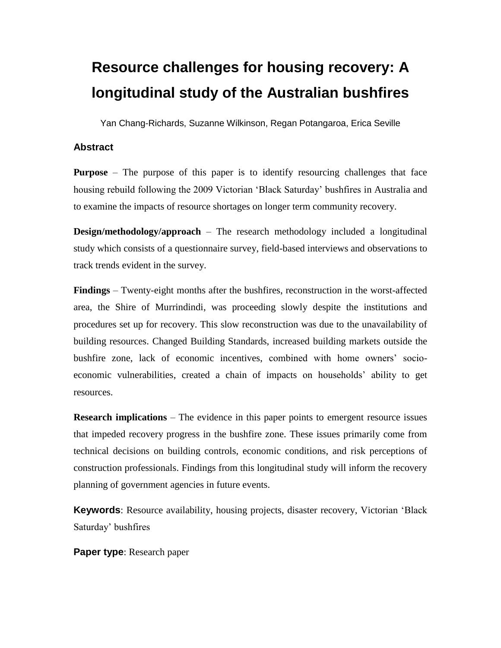# **Resource challenges for housing recovery: A longitudinal study of the Australian bushfires**

Yan Chang-Richards, Suzanne Wilkinson, Regan Potangaroa, Erica Seville

# **Abstract**

**Purpose** – The purpose of this paper is to identify resourcing challenges that face housing rebuild following the 2009 Victorian 'Black Saturday' bushfires in Australia and to examine the impacts of resource shortages on longer term community recovery.

**Design/methodology/approach** – The research methodology included a longitudinal study which consists of a questionnaire survey, field-based interviews and observations to track trends evident in the survey.

**Findings** – Twenty-eight months after the bushfires, reconstruction in the worst-affected area, the Shire of Murrindindi, was proceeding slowly despite the institutions and procedures set up for recovery. This slow reconstruction was due to the unavailability of building resources. Changed Building Standards, increased building markets outside the bushfire zone, lack of economic incentives, combined with home owners' socioeconomic vulnerabilities, created a chain of impacts on households' ability to get resources.

**Research implications** – The evidence in this paper points to emergent resource issues that impeded recovery progress in the bushfire zone. These issues primarily come from technical decisions on building controls, economic conditions, and risk perceptions of construction professionals. Findings from this longitudinal study will inform the recovery planning of government agencies in future events.

**Keywords**: Resource availability, housing projects, disaster recovery, Victorian 'Black Saturday' bushfires

**Paper type**: Research paper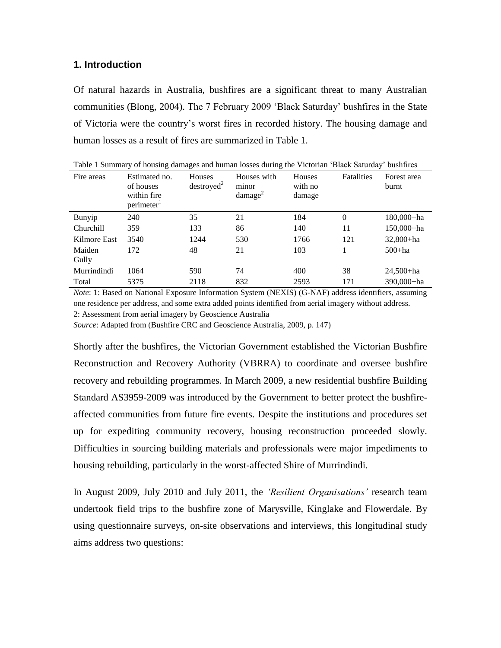# **1. Introduction**

Of natural hazards in Australia, bushfires are a significant threat to many Australian communities [\(Blong, 2004\)](#page-9-0). The 7 February 2009 'Black Saturday' bushfires in the State of Victoria were the country's worst fires in recorded history. The housing damage and human losses as a result of fires are summarized in Table 1.

| Taoic T Sunning y of nousing uamages and numan losses during the Victorian Diack Saturday Dusnines |                                                                     |                                  |                                                |                             |            |                      |  |
|----------------------------------------------------------------------------------------------------|---------------------------------------------------------------------|----------------------------------|------------------------------------------------|-----------------------------|------------|----------------------|--|
| Fire areas                                                                                         | Estimated no.<br>of houses<br>within fire<br>perimeter <sup>1</sup> | Houses<br>destroved <sup>2</sup> | Houses with<br>minor<br>$d$ amage <sup>2</sup> | Houses<br>with no<br>damage | Fatalities | Forest area<br>burnt |  |
| Bunyip                                                                                             | 240                                                                 | 35                               | 21                                             | 184                         | $\Omega$   | 180,000+ha           |  |
| Churchill                                                                                          | 359                                                                 | 133                              | 86                                             | 140                         | 11         | $150,000 + ha$       |  |
| Kilmore East                                                                                       | 3540                                                                | 1244                             | 530                                            | 1766                        | 121        | $32,800 + ha$        |  |
| Maiden                                                                                             | 172                                                                 | 48                               | 21                                             | 103                         |            | $500 + ha$           |  |
| Gully                                                                                              |                                                                     |                                  |                                                |                             |            |                      |  |
| Murrindindi                                                                                        | 1064                                                                | 590                              | 74                                             | 400                         | 38         | $24,500 + ha$        |  |
| Total                                                                                              | 5375                                                                | 2118                             | 832                                            | 2593                        | 171        | $390,000 + ha$       |  |

Table 1 Summary of housing damages and human losses during the Victorian 'Black Saturday' bushfires

*Note*: 1: Based on National Exposure Information System (NEXIS) (G-NAF) address identifiers, assuming one residence per address, and some extra added points identified from aerial imagery without address. 2: Assessment from aerial imagery by Geoscience Australia

*Source*: Adapted from [\(Bushfire CRC and Geoscience Australia, 2009, p. 147\)](#page-10-0)

Shortly after the bushfires, the Victorian Government established the Victorian Bushfire Reconstruction and Recovery Authority (VBRRA) to coordinate and oversee bushfire recovery and rebuilding programmes. In March 2009, a new residential bushfire Building Standard AS3959-2009 was introduced by the Government to better protect the bushfireaffected communities from future fire events. Despite the institutions and procedures set up for expediting community recovery, housing reconstruction proceeded slowly. Difficulties in sourcing building materials and professionals were major impediments to housing rebuilding, particularly in the worst-affected Shire of Murrindindi.

In August 2009, July 2010 and July 2011, the *'Resilient Organisations'* research team undertook field trips to the bushfire zone of Marysville, Kinglake and Flowerdale. By using questionnaire surveys, on-site observations and interviews, this longitudinal study aims address two questions: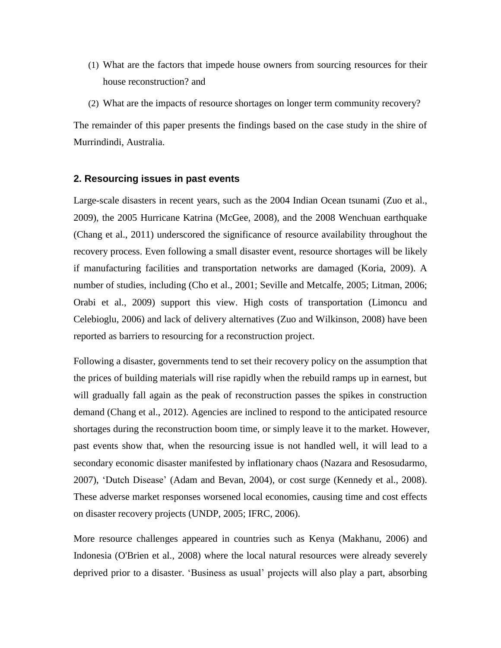- (1) What are the factors that impede house owners from sourcing resources for their house reconstruction? and
- (2) What are the impacts of resource shortages on longer term community recovery?

The remainder of this paper presents the findings based on the case study in the shire of Murrindindi, Australia.

#### **2. Resourcing issues in past events**

Large-scale disasters in recent years, such as the 2004 Indian Ocean tsunami [\(Zuo et al.,](#page-12-0)  [2009\)](#page-12-0), the 2005 Hurricane Katrina [\(McGee, 2008\)](#page-11-0), and the 2008 Wenchuan earthquake [\(Chang et al., 2011\)](#page-10-1) underscored the significance of resource availability throughout the recovery process. Even following a small disaster event, resource shortages will be likely if manufacturing facilities and transportation networks are damaged [\(Koria, 2009\)](#page-11-1). A number of studies, including [\(Cho et al., 2001;](#page-10-2) [Seville and Metcalfe, 2005;](#page-12-1) [Litman, 2006;](#page-11-2) [Orabi et al., 2009\)](#page-12-2) support this view. High costs of transportation [\(Limoncu and](#page-11-3)  [Celebioglu, 2006\)](#page-11-3) and lack of delivery alternatives [\(Zuo and Wilkinson, 2008\)](#page-12-3) have been reported as barriers to resourcing for a reconstruction project.

Following a disaster, governments tend to set their recovery policy on the assumption that the prices of building materials will rise rapidly when the rebuild ramps up in earnest, but will gradually fall again as the peak of reconstruction passes the spikes in construction demand [\(Chang et al., 2012\)](#page-10-3). Agencies are inclined to respond to the anticipated resource shortages during the reconstruction boom time, or simply leave it to the market. However, past events show that, when the resourcing issue is not handled well, it will lead to a secondary economic disaster manifested by inflationary chaos [\(Nazara and Resosudarmo,](#page-11-4)  [2007\)](#page-11-4), 'Dutch Disease' [\(Adam and Bevan, 2004\)](#page-9-1), or cost surge [\(Kennedy et al., 2008\)](#page-11-5). These adverse market responses worsened local economies, causing time and cost effects on disaster recovery projects [\(UNDP, 2005;](#page-12-4) [IFRC, 2006\)](#page-11-6).

More resource challenges appeared in countries such as Kenya [\(Makhanu, 2006\)](#page-11-7) and Indonesia [\(O'Brien et al., 2008\)](#page-11-8) where the local natural resources were already severely deprived prior to a disaster. 'Business as usual' projects will also play a part, absorbing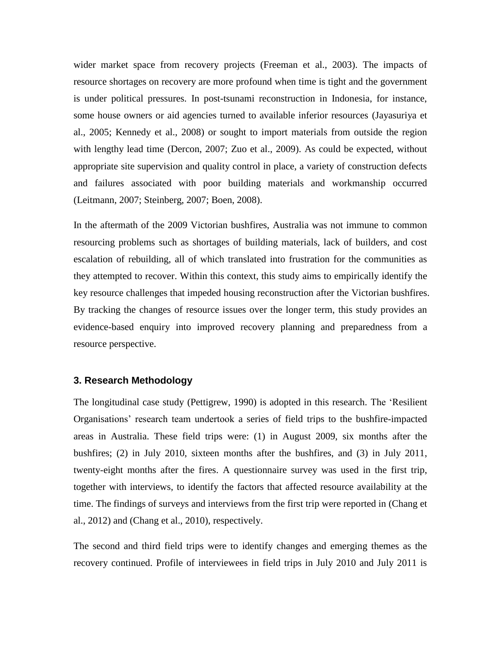wider market space from recovery projects [\(Freeman et al., 2003\)](#page-10-4). The impacts of resource shortages on recovery are more profound when time is tight and the government is under political pressures. In post-tsunami reconstruction in Indonesia, for instance, some house owners or aid agencies turned to available inferior resources [\(Jayasuriya et](#page-11-9)  [al., 2005;](#page-11-9) [Kennedy et al., 2008\)](#page-11-5) or sought to import materials from outside the region with lengthy lead time [\(Dercon, 2007;](#page-10-5) [Zuo et al., 2009\)](#page-12-0). As could be expected, without appropriate site supervision and quality control in place, a variety of construction defects and failures associated with poor building materials and workmanship occurred [\(Leitmann, 2007;](#page-11-10) [Steinberg, 2007;](#page-12-5) [Boen, 2008\)](#page-9-2).

In the aftermath of the 2009 Victorian bushfires, Australia was not immune to common resourcing problems such as shortages of building materials, lack of builders, and cost escalation of rebuilding, all of which translated into frustration for the communities as they attempted to recover. Within this context, this study aims to empirically identify the key resource challenges that impeded housing reconstruction after the Victorian bushfires. By tracking the changes of resource issues over the longer term, this study provides an evidence-based enquiry into improved recovery planning and preparedness from a resource perspective.

### **3. Research Methodology**

The longitudinal case study [\(Pettigrew, 1990\)](#page-12-6) is adopted in this research. The 'Resilient Organisations' research team undertook a series of field trips to the bushfire-impacted areas in Australia. These field trips were: (1) in August 2009, six months after the bushfires; (2) in July 2010, sixteen months after the bushfires, and (3) in July 2011, twenty-eight months after the fires. A questionnaire survey was used in the first trip, together with interviews, to identify the factors that affected resource availability at the time. The findings of surveys and interviews from the first trip were reported in [\(Chang et](#page-10-6)  [al., 2012\)](#page-10-6) and [\(Chang et al., 2010\)](#page-10-7), respectively.

The second and third field trips were to identify changes and emerging themes as the recovery continued. Profile of interviewees in field trips in July 2010 and July 2011 is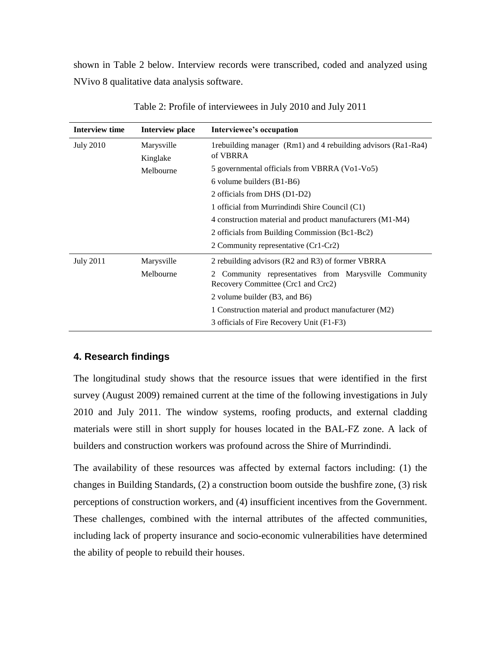shown in Table 2 below. Interview records were transcribed, coded and analyzed using NVivo 8 qualitative data analysis software.

| Interview time   | Interview place        | Interviewee's occupation                                                                       |  |  |
|------------------|------------------------|------------------------------------------------------------------------------------------------|--|--|
| <b>July 2010</b> | Marysville<br>Kinglake | 1rebuilding manager (Rm1) and 4 rebuilding advisors (Ra1-Ra4)<br>of VBRRA                      |  |  |
|                  | Melbourne              | 5 governmental officials from VBRRA (Vo1-Vo5)                                                  |  |  |
|                  |                        | 6 volume builders $(B1-B6)$                                                                    |  |  |
|                  |                        | 2 officials from DHS (D1-D2)                                                                   |  |  |
|                  |                        | 1 official from Murrindindi Shire Council (C1)                                                 |  |  |
|                  |                        | 4 construction material and product manufacturers (M1-M4)                                      |  |  |
|                  |                        | 2 officials from Building Commission (Bc1-Bc2)                                                 |  |  |
|                  |                        | 2 Community representative (Cr1-Cr2)                                                           |  |  |
| <b>July 2011</b> | Marysville             | 2 rebuilding advisors (R2 and R3) of former VBRRA                                              |  |  |
|                  | Melbourne              | Community representatives from Marysville Community<br>2<br>Recovery Committee (Crc1 and Crc2) |  |  |
|                  |                        | 2 volume builder (B3, and B6)                                                                  |  |  |
|                  |                        | 1 Construction material and product manufacturer (M2)                                          |  |  |
|                  |                        | 3 officials of Fire Recovery Unit (F1-F3)                                                      |  |  |

Table 2: Profile of interviewees in July 2010 and July 2011

# **4. Research findings**

The longitudinal study shows that the resource issues that were identified in the first survey (August 2009) remained current at the time of the following investigations in July 2010 and July 2011. The window systems, roofing products, and external cladding materials were still in short supply for houses located in the BAL-FZ zone. A lack of builders and construction workers was profound across the Shire of Murrindindi.

The availability of these resources was affected by external factors including: (1) the changes in Building Standards, (2) a construction boom outside the bushfire zone, (3) risk perceptions of construction workers, and (4) insufficient incentives from the Government. These challenges, combined with the internal attributes of the affected communities, including lack of property insurance and socio-economic vulnerabilities have determined the ability of people to rebuild their houses.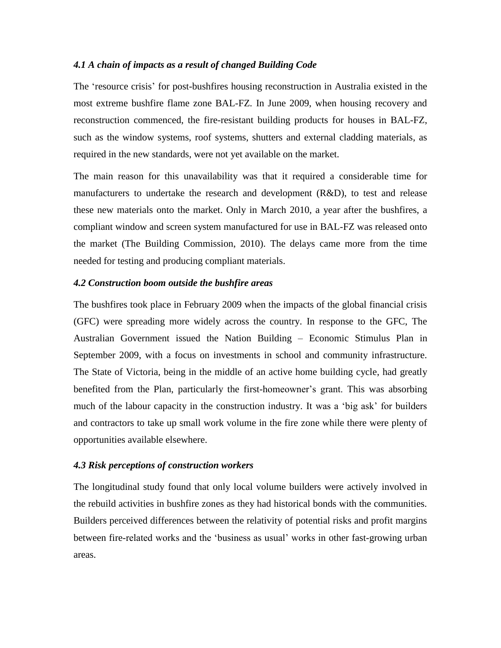#### *4.1 A chain of impacts as a result of changed Building Code*

The 'resource crisis' for post-bushfires housing reconstruction in Australia existed in the most extreme bushfire flame zone BAL-FZ. In June 2009, when housing recovery and reconstruction commenced, the fire-resistant building products for houses in BAL-FZ, such as the window systems, roof systems, shutters and external cladding materials, as required in the new standards, were not yet available on the market.

The main reason for this unavailability was that it required a considerable time for manufacturers to undertake the research and development (R&D), to test and release these new materials onto the market. Only in March 2010, a year after the bushfires, a compliant window and screen system manufactured for use in BAL-FZ was released onto the market [\(The Building Commission, 2010\)](#page-12-7). The delays came more from the time needed for testing and producing compliant materials.

#### *4.2 Construction boom outside the bushfire areas*

The bushfires took place in February 2009 when the impacts of the global financial crisis (GFC) were spreading more widely across the country. In response to the GFC, The Australian Government issued the Nation Building – Economic Stimulus Plan in September 2009, with a focus on investments in school and community infrastructure. The State of Victoria, being in the middle of an active home building cycle, had greatly benefited from the Plan, particularly the first-homeowner's grant. This was absorbing much of the labour capacity in the construction industry. It was a 'big ask' for builders and contractors to take up small work volume in the fire zone while there were plenty of opportunities available elsewhere.

### *4.3 Risk perceptions of construction workers*

The longitudinal study found that only local volume builders were actively involved in the rebuild activities in bushfire zones as they had historical bonds with the communities. Builders perceived differences between the relativity of potential risks and profit margins between fire-related works and the 'business as usual' works in other fast-growing urban areas.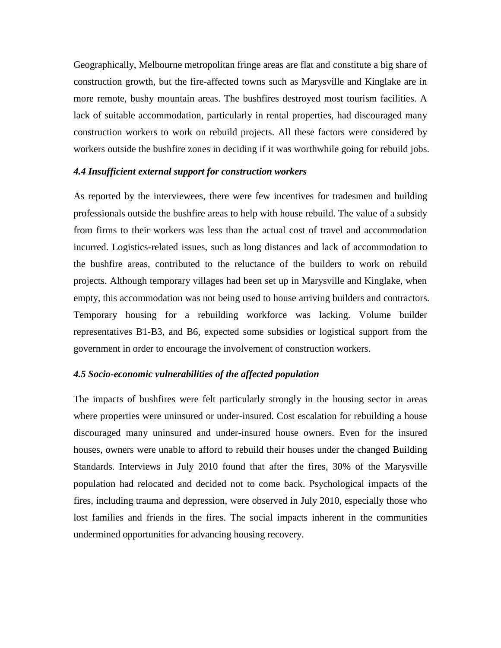Geographically, Melbourne metropolitan fringe areas are flat and constitute a big share of construction growth, but the fire-affected towns such as Marysville and Kinglake are in more remote, bushy mountain areas. The bushfires destroyed most tourism facilities. A lack of suitable accommodation, particularly in rental properties, had discouraged many construction workers to work on rebuild projects. All these factors were considered by workers outside the bushfire zones in deciding if it was worthwhile going for rebuild jobs.

#### *4.4 Insufficient external support for construction workers*

As reported by the interviewees, there were few incentives for tradesmen and building professionals outside the bushfire areas to help with house rebuild. The value of a subsidy from firms to their workers was less than the actual cost of travel and accommodation incurred. Logistics-related issues, such as long distances and lack of accommodation to the bushfire areas, contributed to the reluctance of the builders to work on rebuild projects. Although temporary villages had been set up in Marysville and Kinglake, when empty, this accommodation was not being used to house arriving builders and contractors. Temporary housing for a rebuilding workforce was lacking. Volume builder representatives B1-B3, and B6, expected some subsidies or logistical support from the government in order to encourage the involvement of construction workers.

#### *4.5 Socio-economic vulnerabilities of the affected population*

The impacts of bushfires were felt particularly strongly in the housing sector in areas where properties were uninsured or under-insured. Cost escalation for rebuilding a house discouraged many uninsured and under-insured house owners. Even for the insured houses, owners were unable to afford to rebuild their houses under the changed Building Standards. Interviews in July 2010 found that after the fires, 30% of the Marysville population had relocated and decided not to come back. Psychological impacts of the fires, including trauma and depression, were observed in July 2010, especially those who lost families and friends in the fires. The social impacts inherent in the communities undermined opportunities for advancing housing recovery.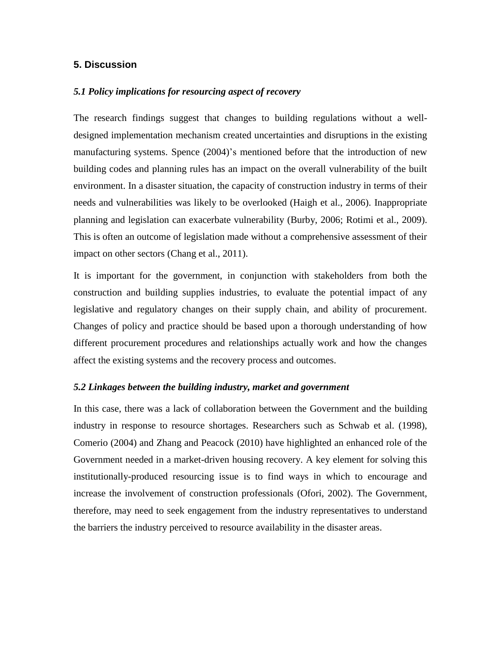# **5. Discussion**

### *5.1 Policy implications for resourcing aspect of recovery*

The research findings suggest that changes to building regulations without a welldesigned implementation mechanism created uncertainties and disruptions in the existing manufacturing systems. Spence [\(2004\)](#page-12-8)'s mentioned before that the introduction of new building codes and planning rules has an impact on the overall vulnerability of the built environment. In a disaster situation, the capacity of construction industry in terms of their needs and vulnerabilities was likely to be overlooked [\(Haigh et al., 2006\)](#page-10-8). Inappropriate planning and legislation can exacerbate vulnerability [\(Burby, 2006;](#page-10-9) [Rotimi et al., 2009\)](#page-12-9). This is often an outcome of legislation made without a comprehensive assessment of their impact on other sectors [\(Chang et al., 2011\)](#page-10-10).

It is important for the government, in conjunction with stakeholders from both the construction and building supplies industries, to evaluate the potential impact of any legislative and regulatory changes on their supply chain, and ability of procurement. Changes of policy and practice should be based upon a thorough understanding of how different procurement procedures and relationships actually work and how the changes affect the existing systems and the recovery process and outcomes.

#### *5.2 Linkages between the building industry, market and government*

In this case, there was a lack of collaboration between the Government and the building industry in response to resource shortages. Researchers such as Schwab et al. [\(1998\)](#page-12-10), Comerio [\(2004\)](#page-10-11) and Zhang and Peacock [\(2010\)](#page-12-11) have highlighted an enhanced role of the Government needed in a market-driven housing recovery. A key element for solving this institutionally-produced resourcing issue is to find ways in which to encourage and increase the involvement of construction professionals [\(Ofori, 2002\)](#page-11-11). The Government, therefore, may need to seek engagement from the industry representatives to understand the barriers the industry perceived to resource availability in the disaster areas.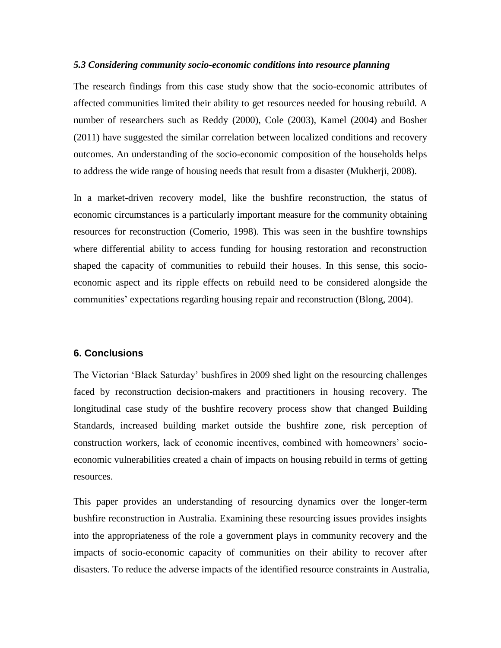#### *5.3 Considering community socio-economic conditions into resource planning*

The research findings from this case study show that the socio-economic attributes of affected communities limited their ability to get resources needed for housing rebuild. A number of researchers such as Reddy [\(2000\)](#page-12-12), Cole [\(2003\)](#page-10-12), Kamel [\(2004\)](#page-11-12) and Bosher [\(2011\)](#page-9-3) have suggested the similar correlation between localized conditions and recovery outcomes. An understanding of the socio-economic composition of the households helps to address the wide range of housing needs that result from a disaster [\(Mukherji, 2008\)](#page-11-13).

In a market-driven recovery model, like the bushfire reconstruction, the status of economic circumstances is a particularly important measure for the community obtaining resources for reconstruction [\(Comerio, 1998\)](#page-10-13). This was seen in the bushfire townships where differential ability to access funding for housing restoration and reconstruction shaped the capacity of communities to rebuild their houses. In this sense, this socioeconomic aspect and its ripple effects on rebuild need to be considered alongside the communities' expectations regarding housing repair and reconstruction [\(Blong, 2004\)](#page-9-0).

# **6. Conclusions**

The Victorian 'Black Saturday' bushfires in 2009 shed light on the resourcing challenges faced by reconstruction decision-makers and practitioners in housing recovery. The longitudinal case study of the bushfire recovery process show that changed Building Standards, increased building market outside the bushfire zone, risk perception of construction workers, lack of economic incentives, combined with homeowners' socioeconomic vulnerabilities created a chain of impacts on housing rebuild in terms of getting resources.

This paper provides an understanding of resourcing dynamics over the longer-term bushfire reconstruction in Australia. Examining these resourcing issues provides insights into the appropriateness of the role a government plays in community recovery and the impacts of socio-economic capacity of communities on their ability to recover after disasters. To reduce the adverse impacts of the identified resource constraints in Australia,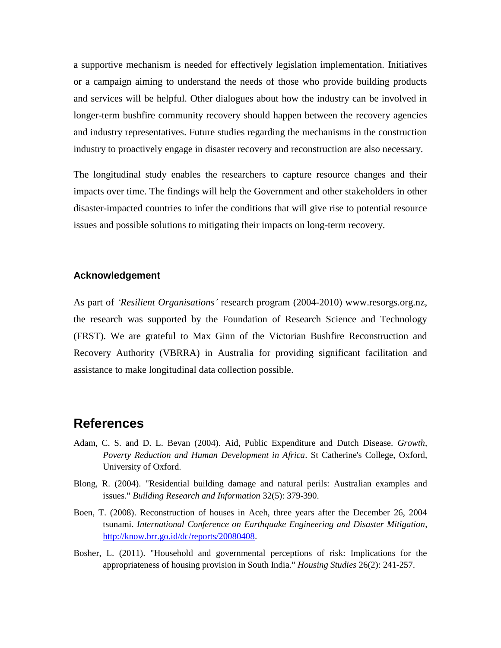a supportive mechanism is needed for effectively legislation implementation. Initiatives or a campaign aiming to understand the needs of those who provide building products and services will be helpful. Other dialogues about how the industry can be involved in longer-term bushfire community recovery should happen between the recovery agencies and industry representatives. Future studies regarding the mechanisms in the construction industry to proactively engage in disaster recovery and reconstruction are also necessary.

The longitudinal study enables the researchers to capture resource changes and their impacts over time. The findings will help the Government and other stakeholders in other disaster-impacted countries to infer the conditions that will give rise to potential resource issues and possible solutions to mitigating their impacts on long-term recovery.

#### **Acknowledgement**

As part of *'Resilient Organisations'* research program (2004-2010) www.resorgs.org.nz, the research was supported by the Foundation of Research Science and Technology (FRST). We are grateful to Max Ginn of the Victorian Bushfire Reconstruction and Recovery Authority (VBRRA) in Australia for providing significant facilitation and assistance to make longitudinal data collection possible.

# **References**

- <span id="page-9-1"></span>Adam, C. S. and D. L. Bevan (2004). Aid, Public Expenditure and Dutch Disease. *Growth, Poverty Reduction and Human Development in Africa*. St Catherine's College, Oxford, University of Oxford.
- <span id="page-9-0"></span>Blong, R. (2004). "Residential building damage and natural perils: Australian examples and issues." *Building Research and Information* 32(5): 379-390.
- <span id="page-9-2"></span>Boen, T. (2008). Reconstruction of houses in Aceh, three years after the December 26, 2004 tsunami. *International Conference on Earthquake Engineering and Disaster Mitigation*, [http://know.brr.go.id/dc/reports/20080408.](http://know.brr.go.id/dc/reports/20080408)
- <span id="page-9-3"></span>Bosher, L. (2011). "Household and governmental perceptions of risk: Implications for the appropriateness of housing provision in South India." *Housing Studies* 26(2): 241-257.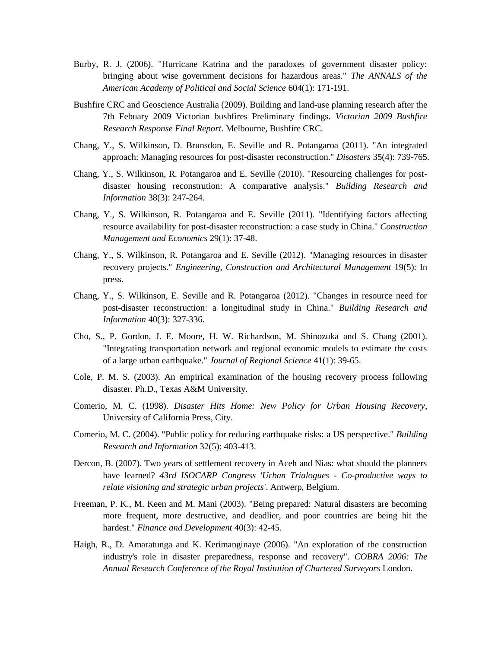- <span id="page-10-9"></span>Burby, R. J. (2006). "Hurricane Katrina and the paradoxes of government disaster policy: bringing about wise government decisions for hazardous areas." *The ANNALS of the American Academy of Political and Social Science* 604(1): 171-191.
- <span id="page-10-0"></span>Bushfire CRC and Geoscience Australia (2009). Building and land-use planning research after the 7th Febuary 2009 Victorian bushfires Preliminary findings. *Victorian 2009 Bushfire Research Response Final Report*. Melbourne, Bushfire CRC.
- <span id="page-10-10"></span>Chang, Y., S. Wilkinson, D. Brunsdon, E. Seville and R. Potangaroa (2011). "An integrated approach: Managing resources for post-disaster reconstruction." *Disasters* 35(4): 739-765.
- <span id="page-10-7"></span>Chang, Y., S. Wilkinson, R. Potangaroa and E. Seville (2010). "Resourcing challenges for postdisaster housing reconstrution: A comparative analysis." *Building Research and Information* 38(3): 247-264.
- <span id="page-10-1"></span>Chang, Y., S. Wilkinson, R. Potangaroa and E. Seville (2011). "Identifying factors affecting resource availability for post-disaster reconstruction: a case study in China." *Construction Management and Economics* 29(1): 37-48.
- <span id="page-10-6"></span>Chang, Y., S. Wilkinson, R. Potangaroa and E. Seville (2012). "Managing resources in disaster recovery projects." *Engineering, Construction and Architectural Management* 19(5): In press.
- <span id="page-10-3"></span>Chang, Y., S. Wilkinson, E. Seville and R. Potangaroa (2012). "Changes in resource need for post-disaster reconstruction: a longitudinal study in China." *Building Research and Information* 40(3): 327-336.
- <span id="page-10-2"></span>Cho, S., P. Gordon, J. E. Moore, H. W. Richardson, M. Shinozuka and S. Chang (2001). "Integrating transportation network and regional economic models to estimate the costs of a large urban earthquake." *Journal of Regional Science* 41(1): 39-65.
- <span id="page-10-12"></span>Cole, P. M. S. (2003). An empirical examination of the housing recovery process following disaster. Ph.D., Texas A&M University.
- <span id="page-10-13"></span>Comerio, M. C. (1998). *Disaster Hits Home: New Policy for Urban Housing Recovery*, University of California Press, City.
- <span id="page-10-11"></span>Comerio, M. C. (2004). "Public policy for reducing earthquake risks: a US perspective." *Building Research and Information* 32(5): 403-413.
- <span id="page-10-5"></span>Dercon, B. (2007). Two years of settlement recovery in Aceh and Nias: what should the planners have learned? *43rd ISOCARP Congress 'Urban Trialogues - Co-productive ways to relate visioning and strategic urban projects'*. Antwerp, Belgium.
- <span id="page-10-4"></span>Freeman, P. K., M. Keen and M. Mani (2003). "Being prepared: Natural disasters are becoming more frequent, more destructive, and deadlier, and poor countries are being hit the hardest." *Finance and Development* 40(3): 42-45.
- <span id="page-10-8"></span>Haigh, R., D. Amaratunga and K. Kerimanginaye (2006). "An exploration of the construction industry's role in disaster preparedness, response and recovery". *COBRA 2006: The Annual Research Conference of the Royal Institution of Chartered Surveyors* London.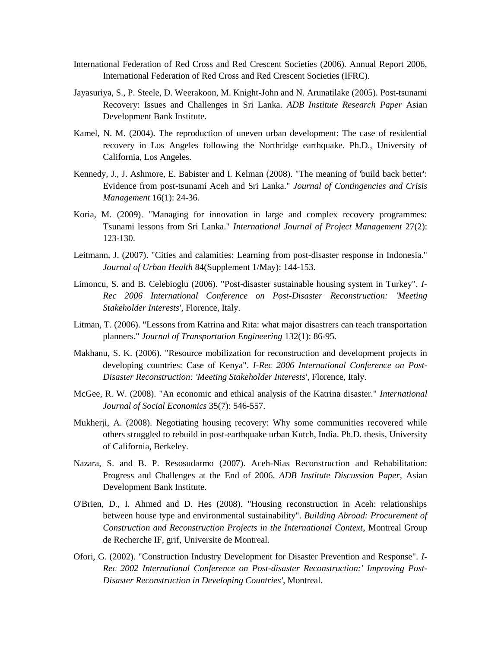- <span id="page-11-6"></span>International Federation of Red Cross and Red Crescent Societies (2006). Annual Report 2006, International Federation of Red Cross and Red Crescent Societies (IFRC).
- <span id="page-11-9"></span>Jayasuriya, S., P. Steele, D. Weerakoon, M. Knight-John and N. Arunatilake (2005). Post-tsunami Recovery: Issues and Challenges in Sri Lanka. *ADB Institute Research Paper* Asian Development Bank Institute.
- <span id="page-11-12"></span>Kamel, N. M. (2004). The reproduction of uneven urban development: The case of residential recovery in Los Angeles following the Northridge earthquake. Ph.D., University of California, Los Angeles.
- <span id="page-11-5"></span>Kennedy, J., J. Ashmore, E. Babister and I. Kelman (2008). "The meaning of 'build back better': Evidence from post-tsunami Aceh and Sri Lanka." *Journal of Contingencies and Crisis Management* 16(1): 24-36.
- <span id="page-11-1"></span>Koria, M. (2009). "Managing for innovation in large and complex recovery programmes: Tsunami lessons from Sri Lanka." *International Journal of Project Management* 27(2): 123-130.
- <span id="page-11-10"></span>Leitmann, J. (2007). "Cities and calamities: Learning from post-disaster response in Indonesia." *Journal of Urban Health* 84(Supplement 1/May): 144-153.
- <span id="page-11-3"></span>Limoncu, S. and B. Celebioglu (2006). "Post-disaster sustainable housing system in Turkey". *I-Rec 2006 International Conference on Post-Disaster Reconstruction: 'Meeting Stakeholder Interests'*, Florence, Italy.
- <span id="page-11-2"></span>Litman, T. (2006). "Lessons from Katrina and Rita: what major disastrers can teach transportation planners." *Journal of Transportation Engineering* 132(1): 86-95.
- <span id="page-11-7"></span>Makhanu, S. K. (2006). "Resource mobilization for reconstruction and development projects in developing countries: Case of Kenya". *I-Rec 2006 International Conference on Post-Disaster Reconstruction: 'Meeting Stakeholder Interests'*, Florence, Italy.
- <span id="page-11-0"></span>McGee, R. W. (2008). "An economic and ethical analysis of the Katrina disaster." *International Journal of Social Economics* 35(7): 546-557.
- <span id="page-11-13"></span>Mukherji, A. (2008). Negotiating housing recovery: Why some communities recovered while others struggled to rebuild in post-earthquake urban Kutch, India. Ph.D. thesis, University of California, Berkeley.
- <span id="page-11-4"></span>Nazara, S. and B. P. Resosudarmo (2007). Aceh-Nias Reconstruction and Rehabilitation: Progress and Challenges at the End of 2006. *ADB Institute Discussion Paper*, Asian Development Bank Institute.
- <span id="page-11-8"></span>O'Brien, D., I. Ahmed and D. Hes (2008). "Housing reconstruction in Aceh: relationships between house type and environmental sustainability". *Building Abroad: Procurement of Construction and Reconstruction Projects in the International Context*, Montreal Group de Recherche IF, grif, Universite de Montreal.
- <span id="page-11-11"></span>Ofori, G. (2002). "Construction Industry Development for Disaster Prevention and Response". *I-Rec 2002 International Conference on Post-disaster Reconstruction:' Improving Post-Disaster Reconstruction in Developing Countries'*, Montreal.